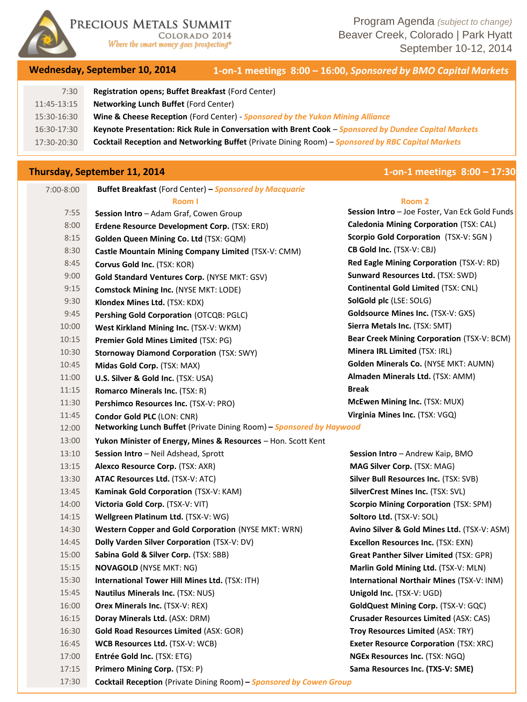

PRECIOUS METALS SUMMIT

COLORADO 2014 Where the smart money goes prospecting<sup>®</sup>

Program Agenda *(subject to change)* Beaver Creek, Colorado | Park Hyatt September 10-12, 2014

## **Wednesday, September 10, 2014 1-on-1 meetings 8:00 – 16:00,** *Sponsored by BMO Capital Markets*

| VCGHCJGGY, JCPICHINCI IV, EVIT |                                                                                                       |  | <u>I-UII-I MCCUNS 0.00 TU.00, JOURNEY OF DIRECTION INDIAC</u>                                            |
|--------------------------------|-------------------------------------------------------------------------------------------------------|--|----------------------------------------------------------------------------------------------------------|
| 7:30                           | Registration opens; Buffet Breakfast (Ford Center)                                                    |  |                                                                                                          |
| 11:45-13:15                    | <b>Networking Lunch Buffet (Ford Center)</b>                                                          |  |                                                                                                          |
| 15:30-16:30                    | Wine & Cheese Reception (Ford Center) - Sponsored by the Yukon Mining Alliance                        |  |                                                                                                          |
| 16:30-17:30                    | Keynote Presentation: Rick Rule in Conversation with Brent Cook – Sponsored by Dundee Capital Markets |  |                                                                                                          |
| 17:30-20:30                    |                                                                                                       |  | <b>Cocktail Reception and Networking Buffet (Private Dining Room) - Sponsored by RBC Capital Markets</b> |

# **Thursday, September 11, 2014 1-on-1 meetings 8:00 – 17:30**

| 7:00-8:00 | <b>Buffet Breakfast</b> (Ford Center) – <b>Sponsored by Macquarie</b> |                                                 |
|-----------|-----------------------------------------------------------------------|-------------------------------------------------|
|           | Room I                                                                | Room <sub>2</sub>                               |
| 7:55      | Session Intro - Adam Graf, Cowen Group                                | Session Intro - Joe Foster, Van Eck Gold Funds  |
| 8:00      | Erdene Resource Development Corp. (TSX: ERD)                          | Caledonia Mining Corporation (TSX: CAL)         |
| 8:15      | Golden Queen Mining Co. Ltd (TSX: GQM)                                | <b>Scorpio Gold Corporation</b> (TSX-V: SGN)    |
| 8:30      | Castle Mountain Mining Company Limited (TSX-V: CMM)                   | <b>CB Gold Inc. (TSX-V: CBJ)</b>                |
| 8:45      | Corvus Gold Inc. (TSX: KOR)                                           | <b>Red Eagle Mining Corporation (TSX-V: RD)</b> |
| 9:00      | Gold Standard Ventures Corp. (NYSE MKT: GSV)                          | Sunward Resources Ltd. (TSX: SWD)               |
| 9:15      | <b>Comstock Mining Inc. (NYSE MKT: LODE)</b>                          | <b>Continental Gold Limited (TSX: CNL)</b>      |
| 9:30      | Klondex Mines Ltd. (TSX: KDX)                                         | SolGold plc (LSE: SOLG)                         |
| 9:45      | Pershing Gold Corporation (OTCQB: PGLC)                               | <b>Goldsource Mines Inc. (TSX-V: GXS)</b>       |
| 10:00     | West Kirkland Mining Inc. (TSX-V: WKM)                                | Sierra Metals Inc. (TSX: SMT)                   |
| 10:15     | Premier Gold Mines Limited (TSX: PG)                                  | Bear Creek Mining Corporation (TSX-V: BCM)      |
| 10:30     | <b>Stornoway Diamond Corporation (TSX: SWY)</b>                       | Minera IRL Limited (TSX: IRL)                   |
| 10:45     | Midas Gold Corp. (TSX: MAX)                                           | Golden Minerals Co. (NYSE MKT: AUMN)            |
| 11:00     | U.S. Silver & Gold Inc. (TSX: USA)                                    | Almaden Minerals Ltd. (TSX: AMM)                |
| 11:15     | <b>Romarco Minerals Inc. (TSX: R)</b>                                 | <b>Break</b>                                    |
| 11:30     | Pershimco Resources Inc. (TSX-V: PRO)                                 | McEwen Mining Inc. (TSX: MUX)                   |
| 11:45     | Condor Gold PLC (LON: CNR)                                            | Virginia Mines Inc. (TSX: VGQ)                  |
| 12:00     | Networking Lunch Buffet (Private Dining Room) - Sponsored by Haywood  |                                                 |
| 13:00     | Yukon Minister of Energy, Mines & Resources - Hon. Scott Kent         |                                                 |
| 13:10     | Session Intro - Neil Adshead, Sprott                                  | Session Intro - Andrew Kaip, BMO                |
| 13:15     | Alexco Resource Corp. (TSX: AXR)                                      | <b>MAG Silver Corp. (TSX: MAG)</b>              |
| 13:30     | <b>ATAC Resources Ltd. (TSX-V: ATC)</b>                               | Silver Bull Resources Inc. (TSX: SVB)           |
| 13:45     | Kaminak Gold Corporation (TSX-V: KAM)                                 | SilverCrest Mines Inc. (TSX: SVL)               |
| 14:00     | Victoria Gold Corp. (TSX-V: VIT)                                      | <b>Scorpio Mining Corporation (TSX: SPM)</b>    |
| 14:15     | Wellgreen Platinum Ltd. (TSX-V: WG)                                   | Soltoro Ltd. (TSX-V: SOL)                       |
| 14:30     | <b>Western Copper and Gold Corporation (NYSE MKT: WRN)</b>            | Avino Silver & Gold Mines Ltd. (TSX-V: ASM)     |
| 14:45     | Dolly Varden Silver Corporation (TSX-V: DV)                           | Excellon Resources Inc. (TSX: EXN)              |
| 15:00     | Sabina Gold & Silver Corp. (TSX: SBB)                                 | <b>Great Panther Silver Limited (TSX: GPR)</b>  |
| 15:15     | <b>NOVAGOLD (NYSE MKT: NG)</b>                                        | Marlin Gold Mining Ltd. (TSX-V: MLN)            |
| 15:30     | International Tower Hill Mines Ltd. (TSX: ITH)                        | International Northair Mines (TSX-V: INM)       |
| 15:45     | <b>Nautilus Minerals Inc. (TSX: NUS)</b>                              | Unigold Inc. (TSX-V: UGD)                       |
| 16:00     | <b>Orex Minerals Inc. (TSX-V: REX)</b>                                | GoldQuest Mining Corp. (TSX-V: GQC)             |
| 16:15     | Doray Minerals Ltd. (ASX: DRM)                                        | Crusader Resources Limited (ASX: CAS)           |
| 16:30     | <b>Gold Road Resources Limited (ASX: GOR)</b>                         | <b>Troy Resources Limited (ASX: TRY)</b>        |
| 16:45     | WCB Resources Ltd. (TSX-V: WCB)                                       | <b>Exeter Resource Corporation (TSX: XRC)</b>   |
| 17:00     | Entrée Gold Inc. (TSX: ETG)                                           | NGEx Resources Inc. (TSX: NGQ)                  |
| 17:15     | Primero Mining Corp. (TSX: P)                                         | Sama Resources Inc. (TXS-V: SME)                |
| 17:30     | Cocktail Reception (Private Dining Room) - Sponsored by Cowen Group   |                                                 |